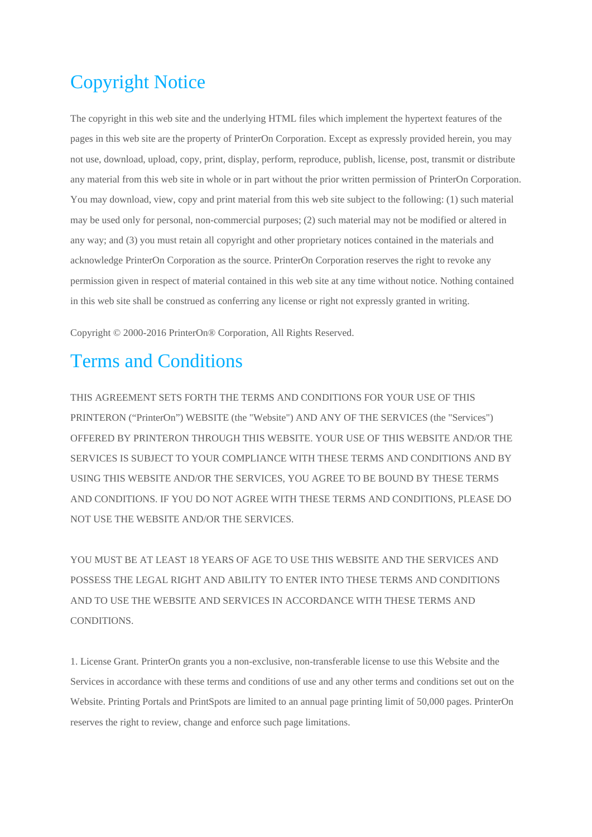# Copyright Notice

The copyright in this web site and the underlying HTML files which implement the hypertext features of the pages in this web site are the property of PrinterOn Corporation. Except as expressly provided herein, you may not use, download, upload, copy, print, display, perform, reproduce, publish, license, post, transmit or distribute any material from this web site in whole or in part without the prior written permission of PrinterOn Corporation. You may download, view, copy and print material from this web site subject to the following: (1) such material may be used only for personal, non-commercial purposes; (2) such material may not be modified or altered in any way; and (3) you must retain all copyright and other proprietary notices contained in the materials and acknowledge PrinterOn Corporation as the source. PrinterOn Corporation reserves the right to revoke any permission given in respect of material contained in this web site at any time without notice. Nothing contained in this web site shall be construed as conferring any license or right not expressly granted in writing.

Copyright © 2000-2016 PrinterOn® Corporation, All Rights Reserved.

## Terms and Conditions

THIS AGREEMENT SETS FORTH THE TERMS AND CONDITIONS FOR YOUR USE OF THIS PRINTERON ("PrinterOn") WEBSITE (the "Website") AND ANY OF THE SERVICES (the "Services") OFFERED BY PRINTERON THROUGH THIS WEBSITE. YOUR USE OF THIS WEBSITE AND/OR THE SERVICES IS SUBJECT TO YOUR COMPLIANCE WITH THESE TERMS AND CONDITIONS AND BY USING THIS WEBSITE AND/OR THE SERVICES, YOU AGREE TO BE BOUND BY THESE TERMS AND CONDITIONS. IF YOU DO NOT AGREE WITH THESE TERMS AND CONDITIONS, PLEASE DO NOT USE THE WEBSITE AND/OR THE SERVICES.

YOU MUST BE AT LEAST 18 YEARS OF AGE TO USE THIS WEBSITE AND THE SERVICES AND POSSESS THE LEGAL RIGHT AND ABILITY TO ENTER INTO THESE TERMS AND CONDITIONS AND TO USE THE WEBSITE AND SERVICES IN ACCORDANCE WITH THESE TERMS AND **CONDITIONS** 

1. License Grant. PrinterOn grants you a non-exclusive, non-transferable license to use this Website and the Services in accordance with these terms and conditions of use and any other terms and conditions set out on the Website. Printing Portals and PrintSpots are limited to an annual page printing limit of 50,000 pages. PrinterOn reserves the right to review, change and enforce such page limitations.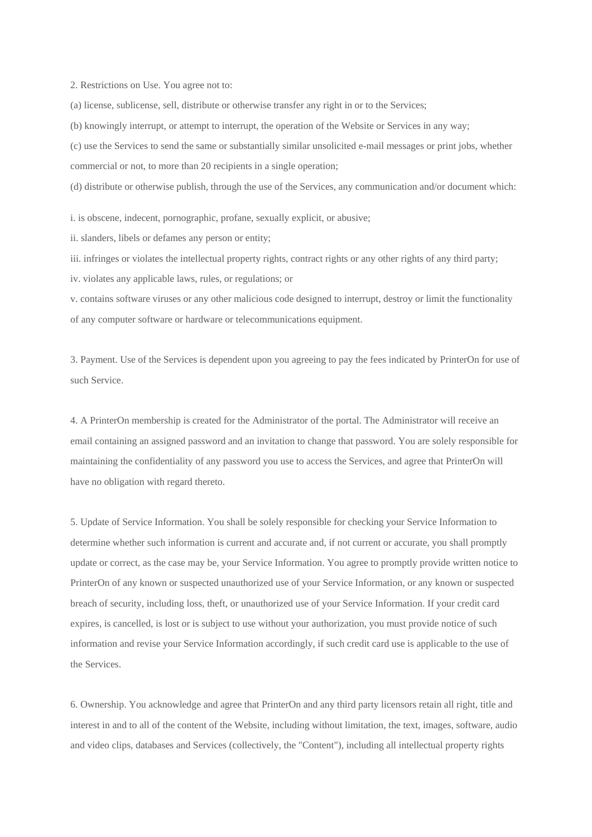2. Restrictions on Use. You agree not to:

(a) license, sublicense, sell, distribute or otherwise transfer any right in or to the Services;

(b) knowingly interrupt, or attempt to interrupt, the operation of the Website or Services in any way;

(c) use the Services to send the same or substantially similar unsolicited e-mail messages or print jobs, whether commercial or not, to more than 20 recipients in a single operation;

(d) distribute or otherwise publish, through the use of the Services, any communication and/or document which:

i. is obscene, indecent, pornographic, profane, sexually explicit, or abusive;

ii. slanders, libels or defames any person or entity;

iii. infringes or violates the intellectual property rights, contract rights or any other rights of any third party;

iv. violates any applicable laws, rules, or regulations; or

v. contains software viruses or any other malicious code designed to interrupt, destroy or limit the functionality of any computer software or hardware or telecommunications equipment.

3. Payment. Use of the Services is dependent upon you agreeing to pay the fees indicated by PrinterOn for use of such Service.

4. A PrinterOn membership is created for the Administrator of the portal. The Administrator will receive an email containing an assigned password and an invitation to change that password. You are solely responsible for maintaining the confidentiality of any password you use to access the Services, and agree that PrinterOn will have no obligation with regard thereto.

5. Update of Service Information. You shall be solely responsible for checking your Service Information to determine whether such information is current and accurate and, if not current or accurate, you shall promptly update or correct, as the case may be, your Service Information. You agree to promptly provide written notice to PrinterOn of any known or suspected unauthorized use of your Service Information, or any known or suspected breach of security, including loss, theft, or unauthorized use of your Service Information. If your credit card expires, is cancelled, is lost or is subject to use without your authorization, you must provide notice of such information and revise your Service Information accordingly, if such credit card use is applicable to the use of the Services.

6. Ownership. You acknowledge and agree that PrinterOn and any third party licensors retain all right, title and interest in and to all of the content of the Website, including without limitation, the text, images, software, audio and video clips, databases and Services (collectively, the "Content"), including all intellectual property rights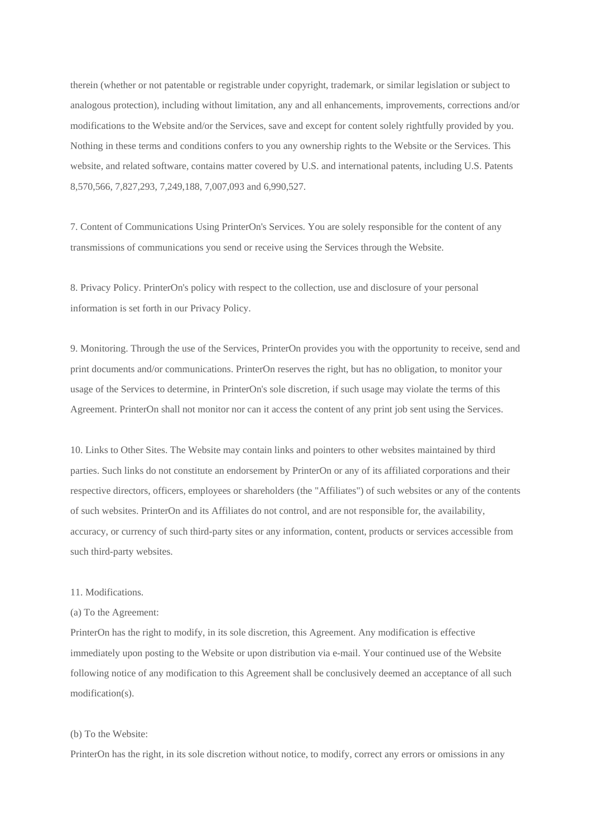therein (whether or not patentable or registrable under copyright, trademark, or similar legislation or subject to analogous protection), including without limitation, any and all enhancements, improvements, corrections and/or modifications to the Website and/or the Services, save and except for content solely rightfully provided by you. Nothing in these terms and conditions confers to you any ownership rights to the Website or the Services. This website, and related software, contains matter covered by U.S. and international patents, including U.S. Patents 8,570,566, 7,827,293, 7,249,188, 7,007,093 and 6,990,527.

7. Content of Communications Using PrinterOn's Services. You are solely responsible for the content of any transmissions of communications you send or receive using the Services through the Website.

8. Privacy Policy. PrinterOn's policy with respect to the collection, use and disclosure of your personal information is set forth in our Privacy Policy.

9. Monitoring. Through the use of the Services, PrinterOn provides you with the opportunity to receive, send and print documents and/or communications. PrinterOn reserves the right, but has no obligation, to monitor your usage of the Services to determine, in PrinterOn's sole discretion, if such usage may violate the terms of this Agreement. PrinterOn shall not monitor nor can it access the content of any print job sent using the Services.

10. Links to Other Sites. The Website may contain links and pointers to other websites maintained by third parties. Such links do not constitute an endorsement by PrinterOn or any of its affiliated corporations and their respective directors, officers, employees or shareholders (the "Affiliates") of such websites or any of the contents of such websites. PrinterOn and its Affiliates do not control, and are not responsible for, the availability, accuracy, or currency of such third-party sites or any information, content, products or services accessible from such third-party websites.

#### 11. Modifications.

#### (a) To the Agreement:

PrinterOn has the right to modify, in its sole discretion, this Agreement. Any modification is effective immediately upon posting to the Website or upon distribution via e-mail. Your continued use of the Website following notice of any modification to this Agreement shall be conclusively deemed an acceptance of all such modification(s).

#### (b) To the Website:

PrinterOn has the right, in its sole discretion without notice, to modify, correct any errors or omissions in any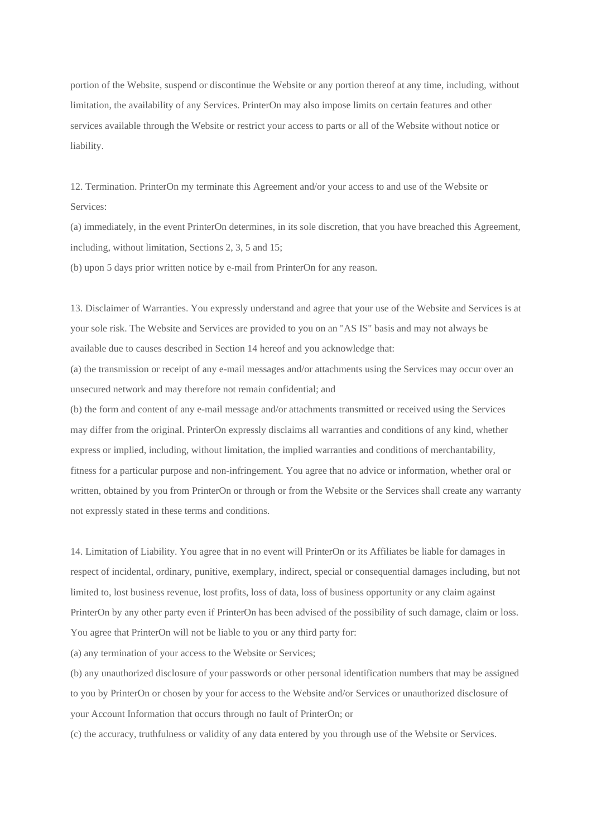portion of the Website, suspend or discontinue the Website or any portion thereof at any time, including, without limitation, the availability of any Services. PrinterOn may also impose limits on certain features and other services available through the Website or restrict your access to parts or all of the Website without notice or liability.

12. Termination. PrinterOn my terminate this Agreement and/or your access to and use of the Website or Services:

(a) immediately, in the event PrinterOn determines, in its sole discretion, that you have breached this Agreement, including, without limitation, Sections 2, 3, 5 and 15;

(b) upon 5 days prior written notice by e-mail from PrinterOn for any reason.

13. Disclaimer of Warranties. You expressly understand and agree that your use of the Website and Services is at your sole risk. The Website and Services are provided to you on an "AS IS" basis and may not always be available due to causes described in Section 14 hereof and you acknowledge that:

(a) the transmission or receipt of any e-mail messages and/or attachments using the Services may occur over an unsecured network and may therefore not remain confidential; and

(b) the form and content of any e-mail message and/or attachments transmitted or received using the Services may differ from the original. PrinterOn expressly disclaims all warranties and conditions of any kind, whether express or implied, including, without limitation, the implied warranties and conditions of merchantability, fitness for a particular purpose and non-infringement. You agree that no advice or information, whether oral or written, obtained by you from PrinterOn or through or from the Website or the Services shall create any warranty not expressly stated in these terms and conditions.

14. Limitation of Liability. You agree that in no event will PrinterOn or its Affiliates be liable for damages in respect of incidental, ordinary, punitive, exemplary, indirect, special or consequential damages including, but not limited to, lost business revenue, lost profits, loss of data, loss of business opportunity or any claim against PrinterOn by any other party even if PrinterOn has been advised of the possibility of such damage, claim or loss. You agree that PrinterOn will not be liable to you or any third party for:

(a) any termination of your access to the Website or Services;

(b) any unauthorized disclosure of your passwords or other personal identification numbers that may be assigned to you by PrinterOn or chosen by your for access to the Website and/or Services or unauthorized disclosure of your Account Information that occurs through no fault of PrinterOn; or

(c) the accuracy, truthfulness or validity of any data entered by you through use of the Website or Services.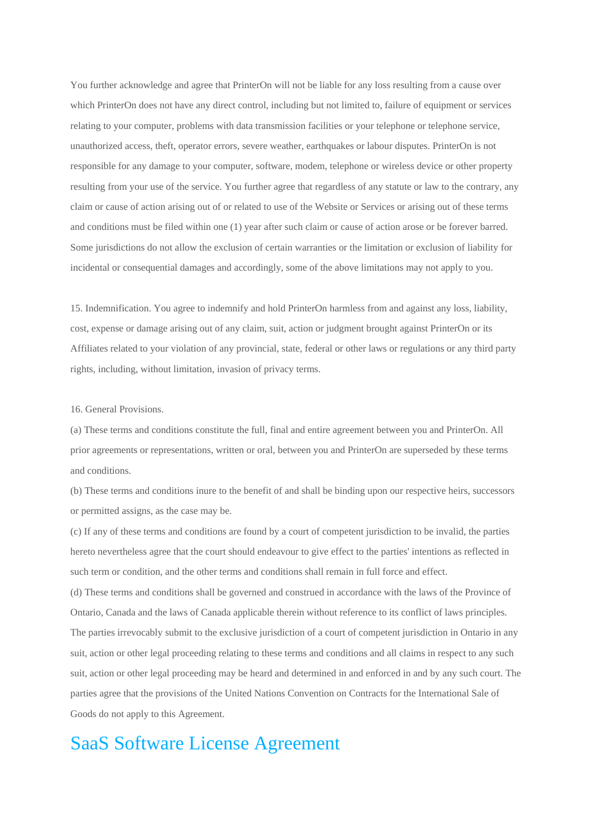You further acknowledge and agree that PrinterOn will not be liable for any loss resulting from a cause over which PrinterOn does not have any direct control, including but not limited to, failure of equipment or services relating to your computer, problems with data transmission facilities or your telephone or telephone service, unauthorized access, theft, operator errors, severe weather, earthquakes or labour disputes. PrinterOn is not responsible for any damage to your computer, software, modem, telephone or wireless device or other property resulting from your use of the service. You further agree that regardless of any statute or law to the contrary, any claim or cause of action arising out of or related to use of the Website or Services or arising out of these terms and conditions must be filed within one (1) year after such claim or cause of action arose or be forever barred. Some jurisdictions do not allow the exclusion of certain warranties or the limitation or exclusion of liability for incidental or consequential damages and accordingly, some of the above limitations may not apply to you.

15. Indemnification. You agree to indemnify and hold PrinterOn harmless from and against any loss, liability, cost, expense or damage arising out of any claim, suit, action or judgment brought against PrinterOn or its Affiliates related to your violation of any provincial, state, federal or other laws or regulations or any third party rights, including, without limitation, invasion of privacy terms.

16. General Provisions.

(a) These terms and conditions constitute the full, final and entire agreement between you and PrinterOn. All prior agreements or representations, written or oral, between you and PrinterOn are superseded by these terms and conditions.

(b) These terms and conditions inure to the benefit of and shall be binding upon our respective heirs, successors or permitted assigns, as the case may be.

(c) If any of these terms and conditions are found by a court of competent jurisdiction to be invalid, the parties hereto nevertheless agree that the court should endeavour to give effect to the parties' intentions as reflected in such term or condition, and the other terms and conditions shall remain in full force and effect.

(d) These terms and conditions shall be governed and construed in accordance with the laws of the Province of Ontario, Canada and the laws of Canada applicable therein without reference to its conflict of laws principles. The parties irrevocably submit to the exclusive jurisdiction of a court of competent jurisdiction in Ontario in any suit, action or other legal proceeding relating to these terms and conditions and all claims in respect to any such suit, action or other legal proceeding may be heard and determined in and enforced in and by any such court. The parties agree that the provisions of the United Nations Convention on Contracts for the International Sale of Goods do not apply to this Agreement.

### SaaS Software License Agreement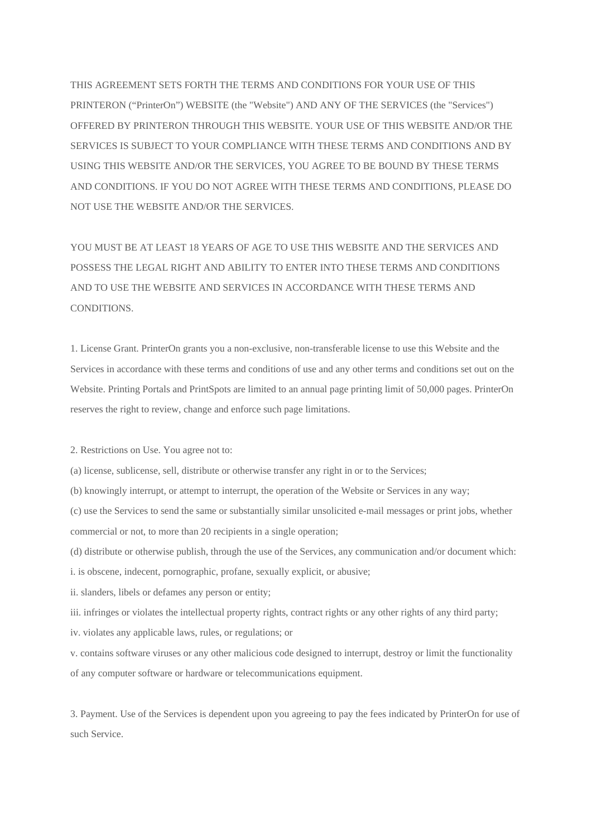THIS AGREEMENT SETS FORTH THE TERMS AND CONDITIONS FOR YOUR USE OF THIS PRINTERON ("PrinterOn") WEBSITE (the "Website") AND ANY OF THE SERVICES (the "Services") OFFERED BY PRINTERON THROUGH THIS WEBSITE. YOUR USE OF THIS WEBSITE AND/OR THE SERVICES IS SUBJECT TO YOUR COMPLIANCE WITH THESE TERMS AND CONDITIONS AND BY USING THIS WEBSITE AND/OR THE SERVICES, YOU AGREE TO BE BOUND BY THESE TERMS AND CONDITIONS. IF YOU DO NOT AGREE WITH THESE TERMS AND CONDITIONS, PLEASE DO NOT USE THE WEBSITE AND/OR THE SERVICES.

YOU MUST BE AT LEAST 18 YEARS OF AGE TO USE THIS WEBSITE AND THE SERVICES AND POSSESS THE LEGAL RIGHT AND ABILITY TO ENTER INTO THESE TERMS AND CONDITIONS AND TO USE THE WEBSITE AND SERVICES IN ACCORDANCE WITH THESE TERMS AND **CONDITIONS** 

1. License Grant. PrinterOn grants you a non-exclusive, non-transferable license to use this Website and the Services in accordance with these terms and conditions of use and any other terms and conditions set out on the Website. Printing Portals and PrintSpots are limited to an annual page printing limit of 50,000 pages. PrinterOn reserves the right to review, change and enforce such page limitations.

2. Restrictions on Use. You agree not to:

- (a) license, sublicense, sell, distribute or otherwise transfer any right in or to the Services;
- (b) knowingly interrupt, or attempt to interrupt, the operation of the Website or Services in any way;

(c) use the Services to send the same or substantially similar unsolicited e-mail messages or print jobs, whether commercial or not, to more than 20 recipients in a single operation;

- (d) distribute or otherwise publish, through the use of the Services, any communication and/or document which:
- i. is obscene, indecent, pornographic, profane, sexually explicit, or abusive;
- ii. slanders, libels or defames any person or entity;
- iii. infringes or violates the intellectual property rights, contract rights or any other rights of any third party;
- iv. violates any applicable laws, rules, or regulations; or

v. contains software viruses or any other malicious code designed to interrupt, destroy or limit the functionality of any computer software or hardware or telecommunications equipment.

3. Payment. Use of the Services is dependent upon you agreeing to pay the fees indicated by PrinterOn for use of such Service.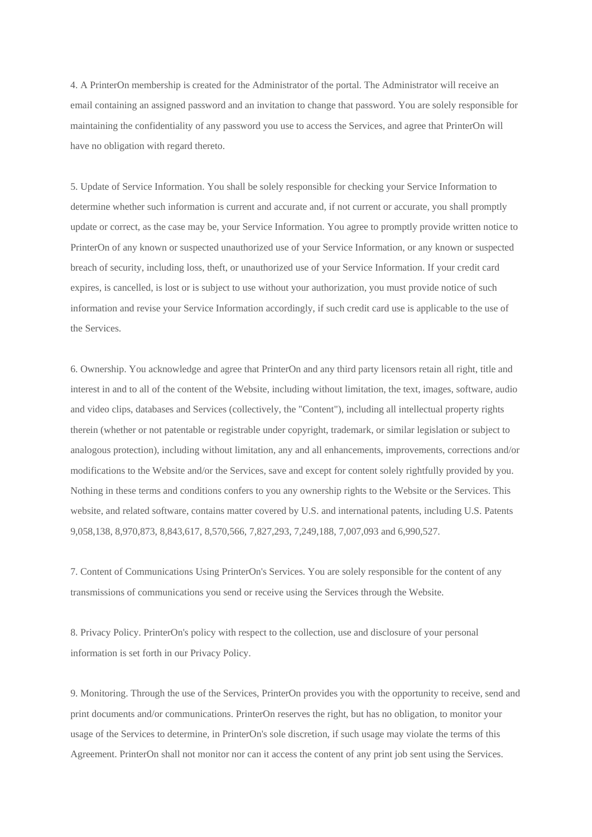4. A PrinterOn membership is created for the Administrator of the portal. The Administrator will receive an email containing an assigned password and an invitation to change that password. You are solely responsible for maintaining the confidentiality of any password you use to access the Services, and agree that PrinterOn will have no obligation with regard thereto.

5. Update of Service Information. You shall be solely responsible for checking your Service Information to determine whether such information is current and accurate and, if not current or accurate, you shall promptly update or correct, as the case may be, your Service Information. You agree to promptly provide written notice to PrinterOn of any known or suspected unauthorized use of your Service Information, or any known or suspected breach of security, including loss, theft, or unauthorized use of your Service Information. If your credit card expires, is cancelled, is lost or is subject to use without your authorization, you must provide notice of such information and revise your Service Information accordingly, if such credit card use is applicable to the use of the Services.

6. Ownership. You acknowledge and agree that PrinterOn and any third party licensors retain all right, title and interest in and to all of the content of the Website, including without limitation, the text, images, software, audio and video clips, databases and Services (collectively, the "Content"), including all intellectual property rights therein (whether or not patentable or registrable under copyright, trademark, or similar legislation or subject to analogous protection), including without limitation, any and all enhancements, improvements, corrections and/or modifications to the Website and/or the Services, save and except for content solely rightfully provided by you. Nothing in these terms and conditions confers to you any ownership rights to the Website or the Services. This website, and related software, contains matter covered by U.S. and international patents, including U.S. Patents 9,058,138, 8,970,873, 8,843,617, 8,570,566, 7,827,293, 7,249,188, 7,007,093 and 6,990,527.

7. Content of Communications Using PrinterOn's Services. You are solely responsible for the content of any transmissions of communications you send or receive using the Services through the Website.

8. Privacy Policy. PrinterOn's policy with respect to the collection, use and disclosure of your personal information is set forth in our Privacy Policy.

9. Monitoring. Through the use of the Services, PrinterOn provides you with the opportunity to receive, send and print documents and/or communications. PrinterOn reserves the right, but has no obligation, to monitor your usage of the Services to determine, in PrinterOn's sole discretion, if such usage may violate the terms of this Agreement. PrinterOn shall not monitor nor can it access the content of any print job sent using the Services.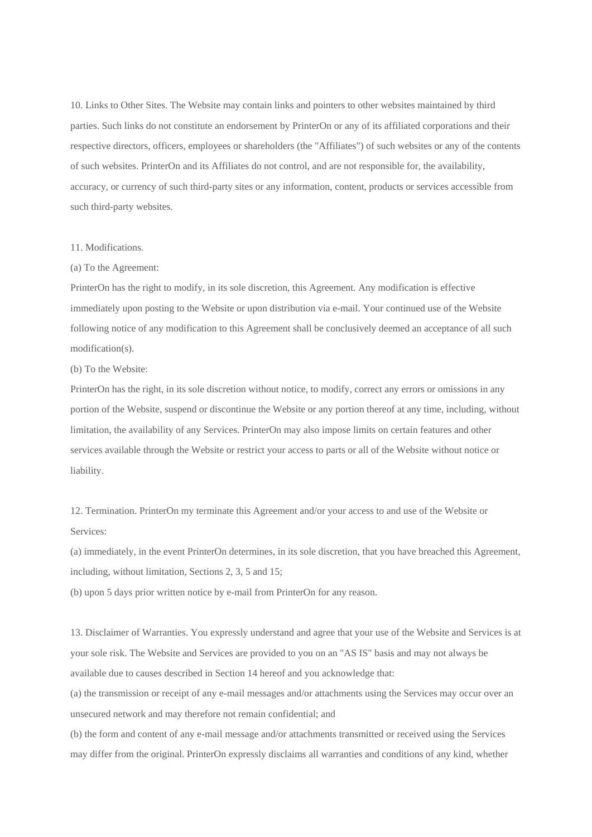10. Links to Other Sites. The Website may contain links and pointers to other websites maintained by third parties. Such links do not constitute an endorsement by PrinterOn or any of its affiliated corporations and their respective directors, officers, employees or shareholders (the "Affiliates") of such websites or any of the contents of such websites. PrinterOn and its Affiliates do not control, and are not responsible for, the availability, accuracy, or currency of such third-party sites or any information, content, products or services accessible from such third-party websites.

#### 11. Modifications.

#### (a) To the Agreement:

PrinterOn has the right to modify, in its sole discretion, this Agreement. Any modification is effective immediately upon posting to the Website or upon distribution via e-mail. Your continued use of the Website following notice of any modification to this Agreement shall be conclusively deemed an acceptance of all such modification(s).

(b) To the Website:

PrinterOn has the right, in its sole discretion without notice, to modify, correct any errors or omissions in any portion of the Website, suspend or discontinue the Website or any portion thereof at any time, including, without limitation, the availability of any Services. PrinterOn may also impose limits on certain features and other services available through the Website or restrict your access to parts or all of the Website without notice or liability.

12. Termination. PrinterOn my terminate this Agreement and/or your access to and use of the Website or Services:

(a) immediately, in the event PrinterOn determines, in its sole discretion, that you have breached this Agreement, including, without limitation, Sections 2, 3, 5 and 15;

(b) upon 5 days prior written notice by e-mail from PrinterOn for any reason.

13. Disclaimer of Warranties. You expressly understand and agree that your use of the Website and Services is at your sole risk. The Website and Services are provided to you on an "AS IS" basis and may not always be available due to causes described in Section 14 hereof and you acknowledge that:

(a) the transmission or receipt of any e-mail messages and/or attachments using the Services may occur over an unsecured network and may therefore not remain confidential; and

(b) the form and content of any e-mail message and/or attachments transmitted or received using the Services may differ from the original. PrinterOn expressly disclaims all warranties and conditions of any kind, whether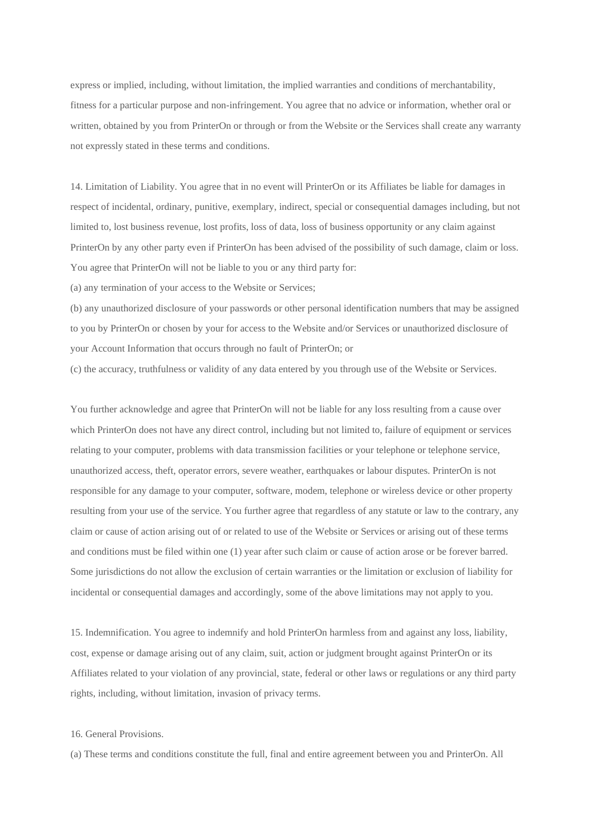express or implied, including, without limitation, the implied warranties and conditions of merchantability, fitness for a particular purpose and non-infringement. You agree that no advice or information, whether oral or written, obtained by you from PrinterOn or through or from the Website or the Services shall create any warranty not expressly stated in these terms and conditions.

14. Limitation of Liability. You agree that in no event will PrinterOn or its Affiliates be liable for damages in respect of incidental, ordinary, punitive, exemplary, indirect, special or consequential damages including, but not limited to, lost business revenue, lost profits, loss of data, loss of business opportunity or any claim against PrinterOn by any other party even if PrinterOn has been advised of the possibility of such damage, claim or loss. You agree that PrinterOn will not be liable to you or any third party for:

(a) any termination of your access to the Website or Services;

(b) any unauthorized disclosure of your passwords or other personal identification numbers that may be assigned to you by PrinterOn or chosen by your for access to the Website and/or Services or unauthorized disclosure of your Account Information that occurs through no fault of PrinterOn; or

(c) the accuracy, truthfulness or validity of any data entered by you through use of the Website or Services.

You further acknowledge and agree that PrinterOn will not be liable for any loss resulting from a cause over which PrinterOn does not have any direct control, including but not limited to, failure of equipment or services relating to your computer, problems with data transmission facilities or your telephone or telephone service, unauthorized access, theft, operator errors, severe weather, earthquakes or labour disputes. PrinterOn is not responsible for any damage to your computer, software, modem, telephone or wireless device or other property resulting from your use of the service. You further agree that regardless of any statute or law to the contrary, any claim or cause of action arising out of or related to use of the Website or Services or arising out of these terms and conditions must be filed within one (1) year after such claim or cause of action arose or be forever barred. Some jurisdictions do not allow the exclusion of certain warranties or the limitation or exclusion of liability for incidental or consequential damages and accordingly, some of the above limitations may not apply to you.

15. Indemnification. You agree to indemnify and hold PrinterOn harmless from and against any loss, liability, cost, expense or damage arising out of any claim, suit, action or judgment brought against PrinterOn or its Affiliates related to your violation of any provincial, state, federal or other laws or regulations or any third party rights, including, without limitation, invasion of privacy terms.

#### 16. General Provisions.

(a) These terms and conditions constitute the full, final and entire agreement between you and PrinterOn. All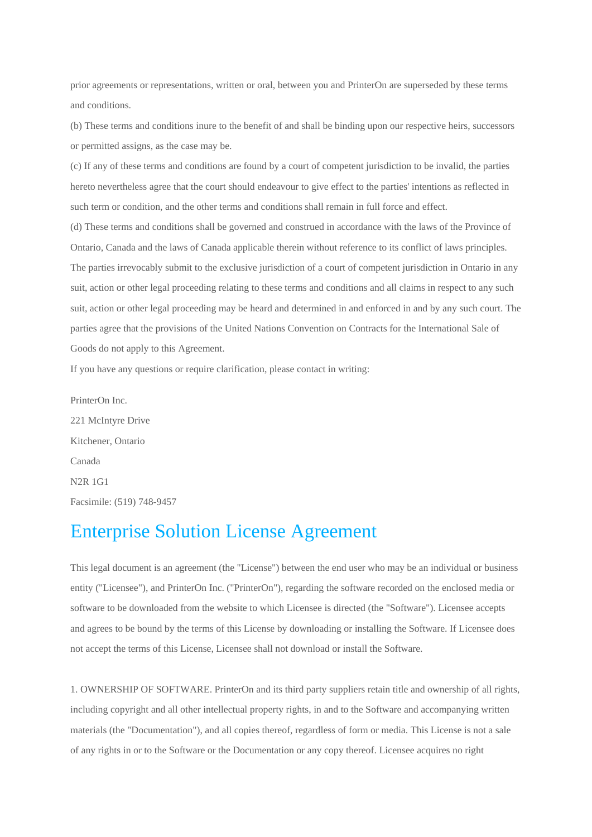prior agreements or representations, written or oral, between you and PrinterOn are superseded by these terms and conditions.

(b) These terms and conditions inure to the benefit of and shall be binding upon our respective heirs, successors or permitted assigns, as the case may be.

(c) If any of these terms and conditions are found by a court of competent jurisdiction to be invalid, the parties hereto nevertheless agree that the court should endeavour to give effect to the parties' intentions as reflected in such term or condition, and the other terms and conditions shall remain in full force and effect.

(d) These terms and conditions shall be governed and construed in accordance with the laws of the Province of Ontario, Canada and the laws of Canada applicable therein without reference to its conflict of laws principles. The parties irrevocably submit to the exclusive jurisdiction of a court of competent jurisdiction in Ontario in any suit, action or other legal proceeding relating to these terms and conditions and all claims in respect to any such suit, action or other legal proceeding may be heard and determined in and enforced in and by any such court. The parties agree that the provisions of the United Nations Convention on Contracts for the International Sale of Goods do not apply to this Agreement.

If you have any questions or require clarification, please contact in writing:

PrinterOn Inc. 221 McIntyre Drive Kitchener, Ontario Canada N2R 1G1 Facsimile: (519) 748-9457

### Enterprise Solution License Agreement

This legal document is an agreement (the "License") between the end user who may be an individual or business entity ("Licensee"), and PrinterOn Inc. ("PrinterOn"), regarding the software recorded on the enclosed media or software to be downloaded from the website to which Licensee is directed (the "Software"). Licensee accepts and agrees to be bound by the terms of this License by downloading or installing the Software. If Licensee does not accept the terms of this License, Licensee shall not download or install the Software.

1. OWNERSHIP OF SOFTWARE. PrinterOn and its third party suppliers retain title and ownership of all rights, including copyright and all other intellectual property rights, in and to the Software and accompanying written materials (the "Documentation"), and all copies thereof, regardless of form or media. This License is not a sale of any rights in or to the Software or the Documentation or any copy thereof. Licensee acquires no right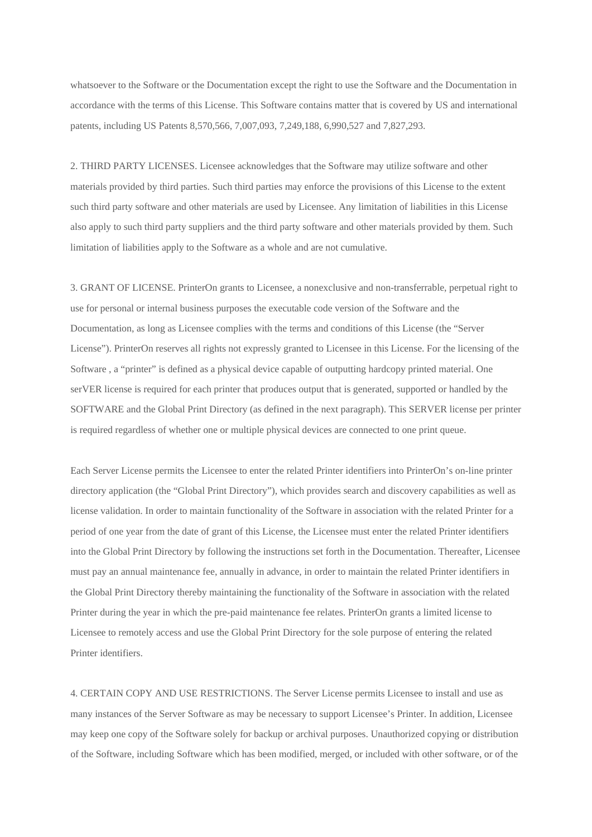whatsoever to the Software or the Documentation except the right to use the Software and the Documentation in accordance with the terms of this License. This Software contains matter that is covered by US and international patents, including US Patents 8,570,566, 7,007,093, 7,249,188, 6,990,527 and 7,827,293.

2. THIRD PARTY LICENSES. Licensee acknowledges that the Software may utilize software and other materials provided by third parties. Such third parties may enforce the provisions of this License to the extent such third party software and other materials are used by Licensee. Any limitation of liabilities in this License also apply to such third party suppliers and the third party software and other materials provided by them. Such limitation of liabilities apply to the Software as a whole and are not cumulative.

3. GRANT OF LICENSE. PrinterOn grants to Licensee, a nonexclusive and non-transferrable, perpetual right to use for personal or internal business purposes the executable code version of the Software and the Documentation, as long as Licensee complies with the terms and conditions of this License (the "Server License"). PrinterOn reserves all rights not expressly granted to Licensee in this License. For the licensing of the Software , a "printer" is defined as a physical device capable of outputting hardcopy printed material. One serVER license is required for each printer that produces output that is generated, supported or handled by the SOFTWARE and the Global Print Directory (as defined in the next paragraph). This SERVER license per printer is required regardless of whether one or multiple physical devices are connected to one print queue.

Each Server License permits the Licensee to enter the related Printer identifiers into PrinterOn's on-line printer directory application (the "Global Print Directory"), which provides search and discovery capabilities as well as license validation. In order to maintain functionality of the Software in association with the related Printer for a period of one year from the date of grant of this License, the Licensee must enter the related Printer identifiers into the Global Print Directory by following the instructions set forth in the Documentation. Thereafter, Licensee must pay an annual maintenance fee, annually in advance, in order to maintain the related Printer identifiers in the Global Print Directory thereby maintaining the functionality of the Software in association with the related Printer during the year in which the pre-paid maintenance fee relates. PrinterOn grants a limited license to Licensee to remotely access and use the Global Print Directory for the sole purpose of entering the related Printer identifiers.

4. CERTAIN COPY AND USE RESTRICTIONS. The Server License permits Licensee to install and use as many instances of the Server Software as may be necessary to support Licensee's Printer. In addition, Licensee may keep one copy of the Software solely for backup or archival purposes. Unauthorized copying or distribution of the Software, including Software which has been modified, merged, or included with other software, or of the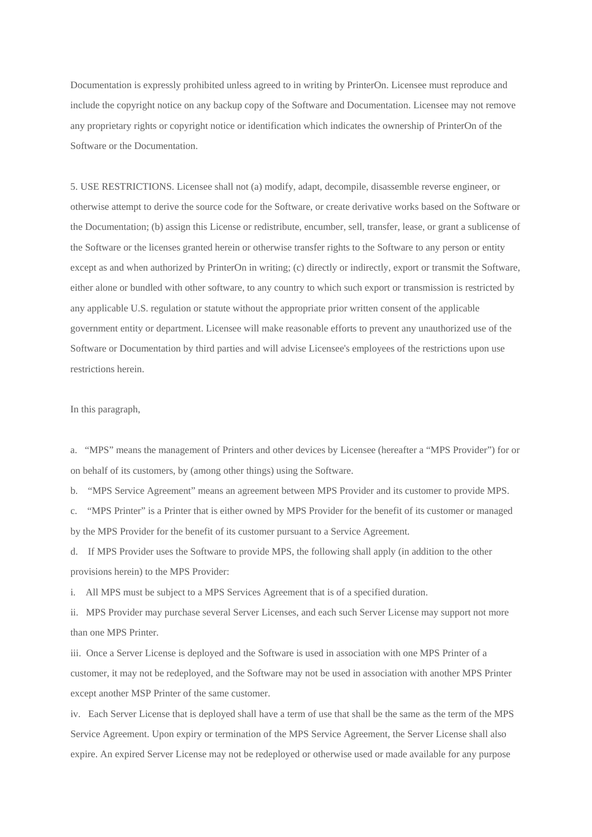Documentation is expressly prohibited unless agreed to in writing by PrinterOn. Licensee must reproduce and include the copyright notice on any backup copy of the Software and Documentation. Licensee may not remove any proprietary rights or copyright notice or identification which indicates the ownership of PrinterOn of the Software or the Documentation.

5. USE RESTRICTIONS. Licensee shall not (a) modify, adapt, decompile, disassemble reverse engineer, or otherwise attempt to derive the source code for the Software, or create derivative works based on the Software or the Documentation; (b) assign this License or redistribute, encumber, sell, transfer, lease, or grant a sublicense of the Software or the licenses granted herein or otherwise transfer rights to the Software to any person or entity except as and when authorized by PrinterOn in writing; (c) directly or indirectly, export or transmit the Software, either alone or bundled with other software, to any country to which such export or transmission is restricted by any applicable U.S. regulation or statute without the appropriate prior written consent of the applicable government entity or department. Licensee will make reasonable efforts to prevent any unauthorized use of the Software or Documentation by third parties and will advise Licensee's employees of the restrictions upon use restrictions herein.

In this paragraph,

a. "MPS" means the management of Printers and other devices by Licensee (hereafter a "MPS Provider") for or on behalf of its customers, by (among other things) using the Software.

b. "MPS Service Agreement" means an agreement between MPS Provider and its customer to provide MPS.

c. "MPS Printer" is a Printer that is either owned by MPS Provider for the benefit of its customer or managed by the MPS Provider for the benefit of its customer pursuant to a Service Agreement.

d. If MPS Provider uses the Software to provide MPS, the following shall apply (in addition to the other provisions herein) to the MPS Provider:

i. All MPS must be subject to a MPS Services Agreement that is of a specified duration.

ii. MPS Provider may purchase several Server Licenses, and each such Server License may support not more than one MPS Printer.

iii. Once a Server License is deployed and the Software is used in association with one MPS Printer of a customer, it may not be redeployed, and the Software may not be used in association with another MPS Printer except another MSP Printer of the same customer.

iv. Each Server License that is deployed shall have a term of use that shall be the same as the term of the MPS Service Agreement. Upon expiry or termination of the MPS Service Agreement, the Server License shall also expire. An expired Server License may not be redeployed or otherwise used or made available for any purpose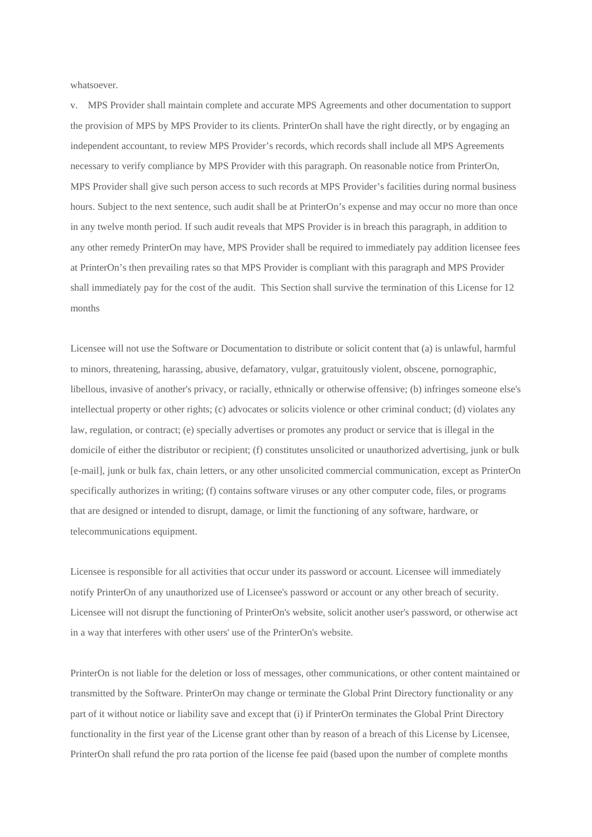whatsoever.

v. MPS Provider shall maintain complete and accurate MPS Agreements and other documentation to support the provision of MPS by MPS Provider to its clients. PrinterOn shall have the right directly, or by engaging an independent accountant, to review MPS Provider's records, which records shall include all MPS Agreements necessary to verify compliance by MPS Provider with this paragraph. On reasonable notice from PrinterOn, MPS Provider shall give such person access to such records at MPS Provider's facilities during normal business hours. Subject to the next sentence, such audit shall be at PrinterOn's expense and may occur no more than once in any twelve month period. If such audit reveals that MPS Provider is in breach this paragraph, in addition to any other remedy PrinterOn may have, MPS Provider shall be required to immediately pay addition licensee fees at PrinterOn's then prevailing rates so that MPS Provider is compliant with this paragraph and MPS Provider shall immediately pay for the cost of the audit. This Section shall survive the termination of this License for 12 months

Licensee will not use the Software or Documentation to distribute or solicit content that (a) is unlawful, harmful to minors, threatening, harassing, abusive, defamatory, vulgar, gratuitously violent, obscene, pornographic, libellous, invasive of another's privacy, or racially, ethnically or otherwise offensive; (b) infringes someone else's intellectual property or other rights; (c) advocates or solicits violence or other criminal conduct; (d) violates any law, regulation, or contract; (e) specially advertises or promotes any product or service that is illegal in the domicile of either the distributor or recipient; (f) constitutes unsolicited or unauthorized advertising, junk or bulk [e-mail], junk or bulk fax, chain letters, or any other unsolicited commercial communication, except as PrinterOn specifically authorizes in writing; (f) contains software viruses or any other computer code, files, or programs that are designed or intended to disrupt, damage, or limit the functioning of any software, hardware, or telecommunications equipment.

Licensee is responsible for all activities that occur under its password or account. Licensee will immediately notify PrinterOn of any unauthorized use of Licensee's password or account or any other breach of security. Licensee will not disrupt the functioning of PrinterOn's website, solicit another user's password, or otherwise act in a way that interferes with other users' use of the PrinterOn's website.

PrinterOn is not liable for the deletion or loss of messages, other communications, or other content maintained or transmitted by the Software. PrinterOn may change or terminate the Global Print Directory functionality or any part of it without notice or liability save and except that (i) if PrinterOn terminates the Global Print Directory functionality in the first year of the License grant other than by reason of a breach of this License by Licensee, PrinterOn shall refund the pro rata portion of the license fee paid (based upon the number of complete months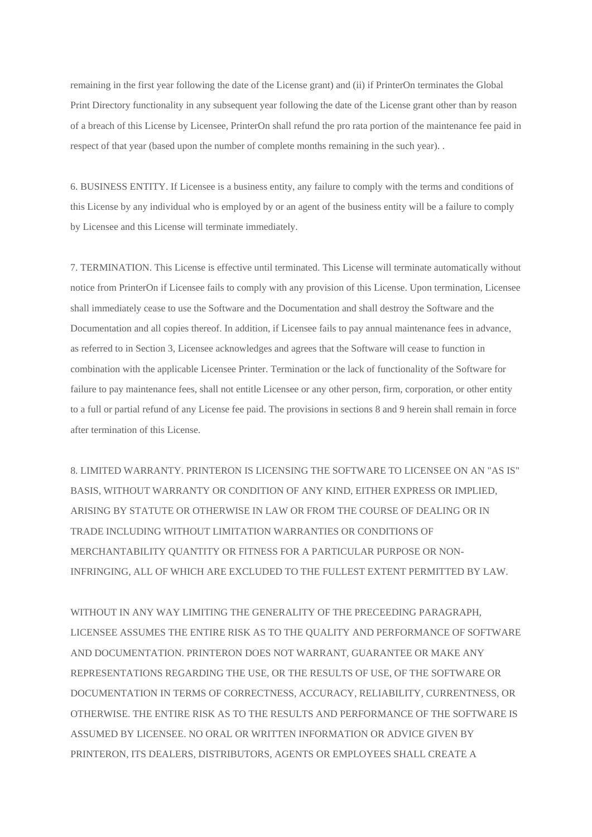remaining in the first year following the date of the License grant) and (ii) if PrinterOn terminates the Global Print Directory functionality in any subsequent year following the date of the License grant other than by reason of a breach of this License by Licensee, PrinterOn shall refund the pro rata portion of the maintenance fee paid in respect of that year (based upon the number of complete months remaining in the such year). .

6. BUSINESS ENTITY. If Licensee is a business entity, any failure to comply with the terms and conditions of this License by any individual who is employed by or an agent of the business entity will be a failure to comply by Licensee and this License will terminate immediately.

7. TERMINATION. This License is effective until terminated. This License will terminate automatically without notice from PrinterOn if Licensee fails to comply with any provision of this License. Upon termination, Licensee shall immediately cease to use the Software and the Documentation and shall destroy the Software and the Documentation and all copies thereof. In addition, if Licensee fails to pay annual maintenance fees in advance, as referred to in Section 3, Licensee acknowledges and agrees that the Software will cease to function in combination with the applicable Licensee Printer. Termination or the lack of functionality of the Software for failure to pay maintenance fees, shall not entitle Licensee or any other person, firm, corporation, or other entity to a full or partial refund of any License fee paid. The provisions in sections 8 and 9 herein shall remain in force after termination of this License.

8. LIMITED WARRANTY. PRINTERON IS LICENSING THE SOFTWARE TO LICENSEE ON AN "AS IS" BASIS, WITHOUT WARRANTY OR CONDITION OF ANY KIND, EITHER EXPRESS OR IMPLIED, ARISING BY STATUTE OR OTHERWISE IN LAW OR FROM THE COURSE OF DEALING OR IN TRADE INCLUDING WITHOUT LIMITATION WARRANTIES OR CONDITIONS OF MERCHANTABILITY QUANTITY OR FITNESS FOR A PARTICULAR PURPOSE OR NON-INFRINGING, ALL OF WHICH ARE EXCLUDED TO THE FULLEST EXTENT PERMITTED BY LAW.

WITHOUT IN ANY WAY LIMITING THE GENERALITY OF THE PRECEEDING PARAGRAPH, LICENSEE ASSUMES THE ENTIRE RISK AS TO THE QUALITY AND PERFORMANCE OF SOFTWARE AND DOCUMENTATION. PRINTERON DOES NOT WARRANT, GUARANTEE OR MAKE ANY REPRESENTATIONS REGARDING THE USE, OR THE RESULTS OF USE, OF THE SOFTWARE OR DOCUMENTATION IN TERMS OF CORRECTNESS, ACCURACY, RELIABILITY, CURRENTNESS, OR OTHERWISE. THE ENTIRE RISK AS TO THE RESULTS AND PERFORMANCE OF THE SOFTWARE IS ASSUMED BY LICENSEE. NO ORAL OR WRITTEN INFORMATION OR ADVICE GIVEN BY PRINTERON, ITS DEALERS, DISTRIBUTORS, AGENTS OR EMPLOYEES SHALL CREATE A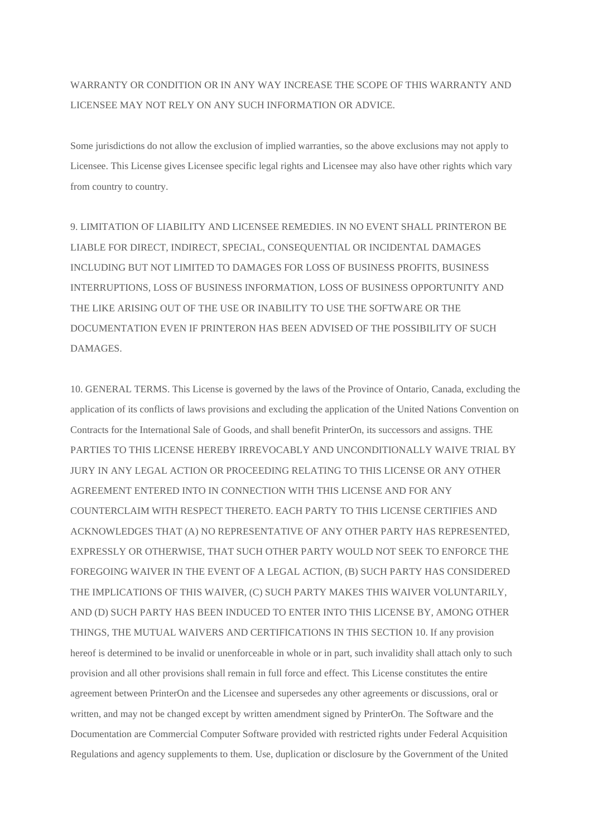### WARRANTY OR CONDITION OR IN ANY WAY INCREASE THE SCOPE OF THIS WARRANTY AND LICENSEE MAY NOT RELY ON ANY SUCH INFORMATION OR ADVICE.

Some jurisdictions do not allow the exclusion of implied warranties, so the above exclusions may not apply to Licensee. This License gives Licensee specific legal rights and Licensee may also have other rights which vary from country to country.

9. LIMITATION OF LIABILITY AND LICENSEE REMEDIES. IN NO EVENT SHALL PRINTERON BE LIABLE FOR DIRECT, INDIRECT, SPECIAL, CONSEQUENTIAL OR INCIDENTAL DAMAGES INCLUDING BUT NOT LIMITED TO DAMAGES FOR LOSS OF BUSINESS PROFITS, BUSINESS INTERRUPTIONS, LOSS OF BUSINESS INFORMATION, LOSS OF BUSINESS OPPORTUNITY AND THE LIKE ARISING OUT OF THE USE OR INABILITY TO USE THE SOFTWARE OR THE DOCUMENTATION EVEN IF PRINTERON HAS BEEN ADVISED OF THE POSSIBILITY OF SUCH DAMAGES.

10. GENERAL TERMS. This License is governed by the laws of the Province of Ontario, Canada, excluding the application of its conflicts of laws provisions and excluding the application of the United Nations Convention on Contracts for the International Sale of Goods, and shall benefit PrinterOn, its successors and assigns. THE PARTIES TO THIS LICENSE HEREBY IRREVOCABLY AND UNCONDITIONALLY WAIVE TRIAL BY JURY IN ANY LEGAL ACTION OR PROCEEDING RELATING TO THIS LICENSE OR ANY OTHER AGREEMENT ENTERED INTO IN CONNECTION WITH THIS LICENSE AND FOR ANY COUNTERCLAIM WITH RESPECT THERETO. EACH PARTY TO THIS LICENSE CERTIFIES AND ACKNOWLEDGES THAT (A) NO REPRESENTATIVE OF ANY OTHER PARTY HAS REPRESENTED, EXPRESSLY OR OTHERWISE, THAT SUCH OTHER PARTY WOULD NOT SEEK TO ENFORCE THE FOREGOING WAIVER IN THE EVENT OF A LEGAL ACTION, (B) SUCH PARTY HAS CONSIDERED THE IMPLICATIONS OF THIS WAIVER, (C) SUCH PARTY MAKES THIS WAIVER VOLUNTARILY, AND (D) SUCH PARTY HAS BEEN INDUCED TO ENTER INTO THIS LICENSE BY, AMONG OTHER THINGS, THE MUTUAL WAIVERS AND CERTIFICATIONS IN THIS SECTION 10. If any provision hereof is determined to be invalid or unenforceable in whole or in part, such invalidity shall attach only to such provision and all other provisions shall remain in full force and effect. This License constitutes the entire agreement between PrinterOn and the Licensee and supersedes any other agreements or discussions, oral or written, and may not be changed except by written amendment signed by PrinterOn. The Software and the Documentation are Commercial Computer Software provided with restricted rights under Federal Acquisition Regulations and agency supplements to them. Use, duplication or disclosure by the Government of the United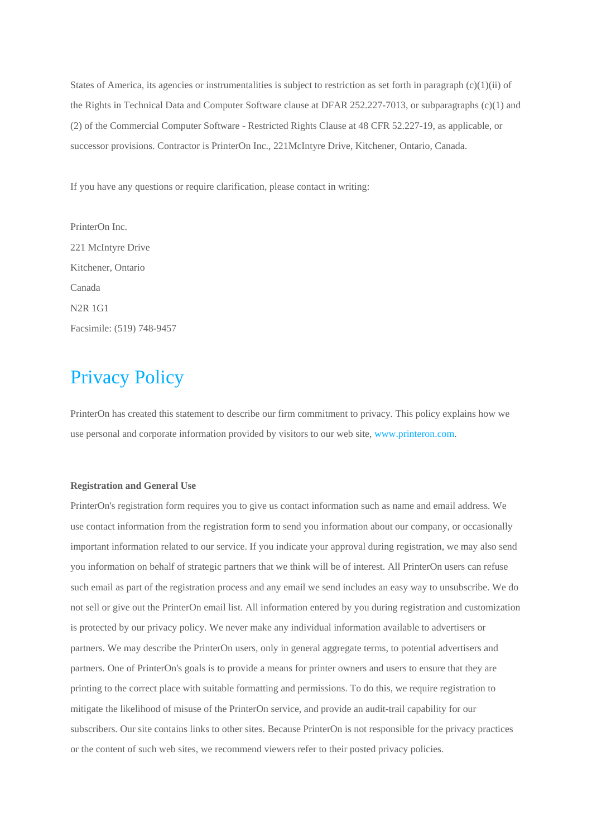States of America, its agencies or instrumentalities is subject to restriction as set forth in paragraph  $(c)(1)(ii)$  of the Rights in Technical Data and Computer Software clause at DFAR 252.227-7013, or subparagraphs (c)(1) and (2) of the Commercial Computer Software - Restricted Rights Clause at 48 CFR 52.227-19, as applicable, or successor provisions. Contractor is PrinterOn Inc., 221McIntyre Drive, Kitchener, Ontario, Canada.

If you have any questions or require clarification, please contact in writing:

PrinterOn Inc. 221 McIntyre Drive Kitchener, Ontario Canada N2R 1G1 Facsimile: (519) 748-9457

# Privacy Policy

PrinterOn has created this statement to describe our firm commitment to privacy. This policy explains how we use personal and corporate information provided by visitors to our web site[, www.printeron.com.](http://www.printeron.com/)

#### **Registration and General Use**

PrinterOn's registration form requires you to give us contact information such as name and email address. We use contact information from the registration form to send you information about our company, or occasionally important information related to our service. If you indicate your approval during registration, we may also send you information on behalf of strategic partners that we think will be of interest. All PrinterOn users can refuse such email as part of the registration process and any email we send includes an easy way to unsubscribe. We do not sell or give out the PrinterOn email list. All information entered by you during registration and customization is protected by our privacy policy. We never make any individual information available to advertisers or partners. We may describe the PrinterOn users, only in general aggregate terms, to potential advertisers and partners. One of PrinterOn's goals is to provide a means for printer owners and users to ensure that they are printing to the correct place with suitable formatting and permissions. To do this, we require registration to mitigate the likelihood of misuse of the PrinterOn service, and provide an audit-trail capability for our subscribers. Our site contains links to other sites. Because PrinterOn is not responsible for the privacy practices or the content of such web sites, we recommend viewers refer to their posted privacy policies.